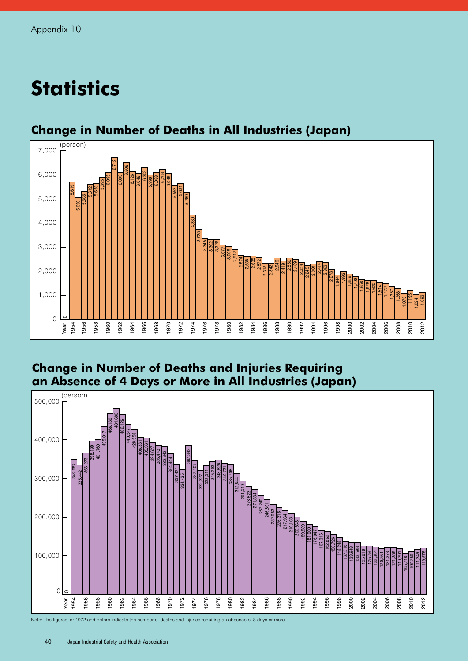# **Statistics**



## **Change in Number of Deaths in All Industries (Japan)**

### **Change in Number of Deaths and Injuries Requiring an Absence of 4 Days or More in All Industries (Japan)**



Note: The figures for 1972 and before indicate the number of deaths and injuries requiring an absence of 8 days or more.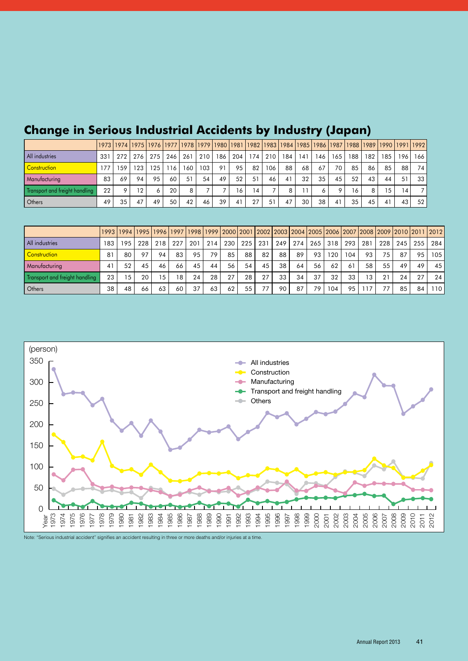|                                |     |         |     |     |               |     |     |     |     |                |     | 1973  1974  1975  1976  1977  1978  1979  1980  1981  1982  1983  1984  1985  1986  1987  1988  1989  1990  1991  1992 |     |     |         |     |     |     |                 |                 |
|--------------------------------|-----|---------|-----|-----|---------------|-----|-----|-----|-----|----------------|-----|------------------------------------------------------------------------------------------------------------------------|-----|-----|---------|-----|-----|-----|-----------------|-----------------|
| All industries                 | 331 | 272     | 276 | 275 | 246           | 261 | 210 | 186 | 204 | 174            | 210 | 184                                                                                                                    | 141 | 146 | 165     | 188 | 182 | 185 | 196             | 166 l           |
| <b>Construction</b>            | 77، | 159     | 23  | 125 | <sup>16</sup> | 160 | 103 | 91  | 95  | 82             | 106 | 88                                                                                                                     | 68  | 67  | 70      | 85  | 86  | 85  | 88              | 74 I            |
| <b>Manufacturing</b>           | 83  | 69      | 94  | 95  | 60            | 51  | 54  | 49  | 52  | 51             | 46  |                                                                                                                        | 32  | 35  | 45      | 52  | 43  | 44  | 51              | 33 l            |
| Transport and freight handling | 22  | $\circ$ | 12  |     | 20            | 8   |     |     | 6   | $\overline{4}$ |     |                                                                                                                        |     |     | $\circ$ | 16  | 8   | 15  | $\overline{14}$ |                 |
| Dthers                         | 49  | 35      | 47  | 49  | 50            | 42  | 46  | 39  | 41  | 27             | 51  | 47                                                                                                                     | 30  | 38  | 41      | 35  | 45  | 41  | 43              | 52 <sub>1</sub> |

# **Change in Serious Industrial Accidents by Industry (Japan)**

|                                |     |     | 1993  1994  1995  1996  1997  1998  1999  2000  2001  2002  2003  2004  2005  2006  2007  2008  2009  2010  2011  2012 |     |     |     |     |     |     |     |     |     |     |      |     |     |     |     |      |     |
|--------------------------------|-----|-----|------------------------------------------------------------------------------------------------------------------------|-----|-----|-----|-----|-----|-----|-----|-----|-----|-----|------|-----|-----|-----|-----|------|-----|
| All industries                 | 183 | 195 | 228                                                                                                                    | 218 | 227 | 201 | 214 | 230 | 225 | 231 | 249 | 274 | 265 | 318  | 293 | 281 | 228 | 245 | 255  | 284 |
| Construction                   | 81  | 80  | 97                                                                                                                     | 94  | 83  | 95  | 79  | 85  | 88  | 82  | 88  | 89  | 93  | 20   | 104 | 93  | 75  | 87  | 95   | 105 |
| Manufacturing                  | 41  | 52  | 45                                                                                                                     | 46  | 66  | 45  | 44  | 56  | 54  | 45  | 38  | 64  | 56  | 62   | 61  | 58  | 55  | 49  | 49   | 45  |
| Transport and freight handling | 23  | 15  | 20                                                                                                                     | 15  | 18  | 24  | 28  | 27  | 28  | 27  | 33  | 34  | 37  | 32   | 33  | 13  | 21  | 24  | - 27 | 24  |
| Others                         | 38  | 48  | 66                                                                                                                     | 63  | 60  | 37  | 63  | 62  | 55  | 77  | 90  | 87  | 79  | 04 ا | 95  |     |     | 85  | 84   | 110 |



Note: "Serious industrial accident" signifies an accident resulting in three or more deaths and/or injuries at a time.